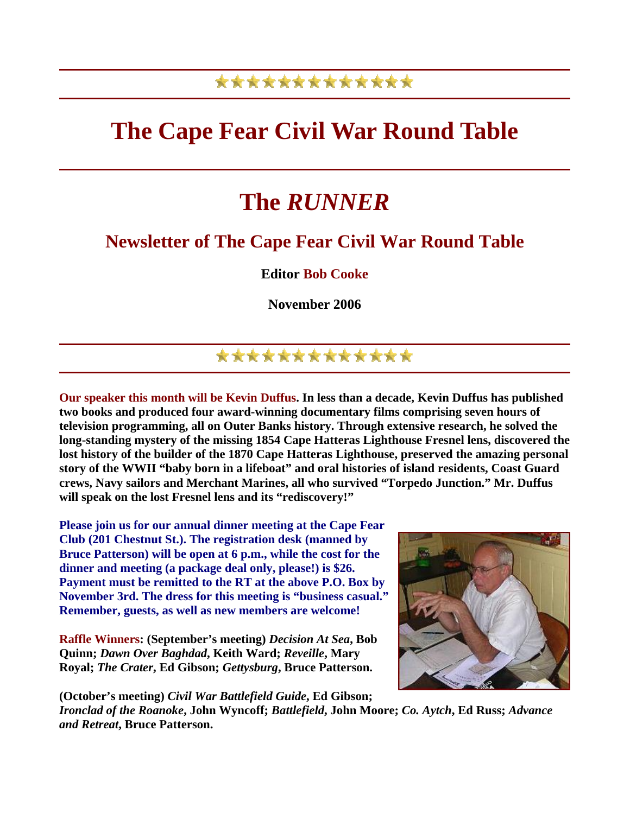### \*\*\*\*\*\*\*\*\*\*\*\*\*

## **The Cape Fear Civil War Round Table**

# **The** *RUNNER*

#### **Newsletter of The Cape Fear Civil War Round Table**

**Editor Bob Cooke** 

**November 2006** 

### \*\*\*\*\*\*\*\*\*\*\*\*\*

**Our speaker this month will be Kevin Duffus. In less than a decade, Kevin Duffus has published two books and produced four award-winning documentary films comprising seven hours of television programming, all on Outer Banks history. Through extensive research, he solved the long-standing mystery of the missing 1854 Cape Hatteras Lighthouse Fresnel lens, discovered the lost history of the builder of the 1870 Cape Hatteras Lighthouse, preserved the amazing personal story of the WWII "baby born in a lifeboat" and oral histories of island residents, Coast Guard crews, Navy sailors and Merchant Marines, all who survived "Torpedo Junction." Mr. Duffus will speak on the lost Fresnel lens and its "rediscovery!"** 

**Please join us for our annual dinner meeting at the Cape Fear Club (201 Chestnut St.). The registration desk (manned by Bruce Patterson) will be open at 6 p.m., while the cost for the dinner and meeting (a package deal only, please!) is \$26. Payment must be remitted to the RT at the above P.O. Box by November 3rd. The dress for this meeting is "business casual." Remember, guests, as well as new members are welcome!**

**Raffle Winners: (September's meeting)** *Decision At Sea***, Bob Quinn;** *Dawn Over Baghdad***, Keith Ward;** *Reveille***, Mary Royal;** *The Crater***, Ed Gibson;** *Gettysburg***, Bruce Patterson.** 

**(October's meeting)** *Civil War Battlefield Guide***, Ed Gibson;** 

*Ironclad of the Roanoke***, John Wyncoff;** *Battlefield***, John Moore;** *Co. Aytch***, Ed Russ;** *Advance and Retreat***, Bruce Patterson.** 

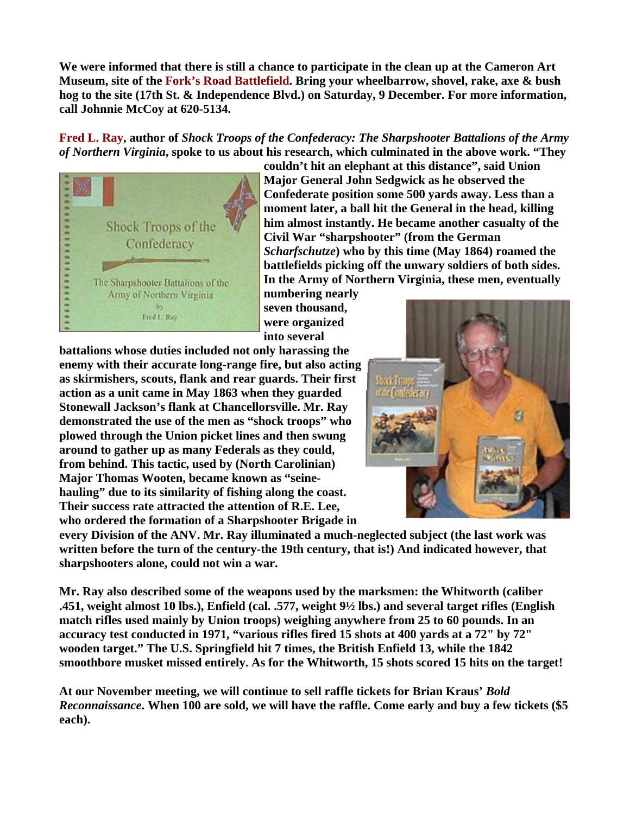**We were informed that there is still a chance to participate in the clean up at the Cameron Art Museum, site of the Fork's Road Battlefield. Bring your wheelbarrow, shovel, rake, axe & bush hog to the site (17th St. & Independence Blvd.) on Saturday, 9 December. For more information, call Johnnie McCoy at 620-5134.** 

**Fred L. Ray, author of** *Shock Troops of the Confederacy: The Sharpshooter Battalions of the Army of Northern Virginia***, spoke to us about his research, which culminated in the above work. "They** 



**couldn't hit an elephant at this distance", said Union Major General John Sedgwick as he observed the Confederate position some 500 yards away. Less than a moment later, a ball hit the General in the head, killing him almost instantly. He became another casualty of the Civil War "sharpshooter" (from the German**  *Scharfschutze***) who by this time (May 1864) roamed the battlefields picking off the unwary soldiers of both sides. In the Army of Northern Virginia, these men, eventually** 

**numbering nearly seven thousand, were organized into several** 

**battalions whose duties included not only harassing the enemy with their accurate long-range fire, but also a cting** as skirmishers, scouts, flank and rear guards. Their first **action as a unit came in May 1863 when they guarded Stonewall Jackson's flank at Chancellorsville. Mr. Ray demonstrated the use of the men as "shock troops" w ho plowed through the Union picket lines and then swung around to gather up as many Federals as they could, from behind. This tactic, used by (North Carolinian) Major Thomas Wooten, became known as "seinehauling" due to its similarity of fishing along the coast. Their success rate attracted the attention of R.E. Lee,**  who ordered the formation of a Sharpshooter Brigade in



**every Division of the ANV. Mr. Ray illuminated a much-neglected subject (the last work was**  written before the turn of the century-the 19th century, that is!) And indicated however, that **sharpshooters alone, could not win a war.** 

**Mr. Ray also described some of the weapons used by the marksmen: the Whitworth (caliber .451, weight almost 10 lbs.), Enfield (cal. .577, weight 9½ lbs.) and several target rifles (English match rifles used mainly by Union troops) weighing anywhere from 25 to 60 pounds. In an accuracy test conducted in 1971, "various rifles fired 15 shots at 400 yards at a 72" by 72" wooden target." The U.S. Springfield hit 7 times, the British Enfield 13, while the 1842 smoothbore musket missed entirely. As for the Whitworth, 15 shots scored 15 hits on the target!** 

**At our November meeting, we will continue to sell raffle tickets for Brian Kraus'** *Bold Reconnaissance***. When 100 are sold, we will have the raffle. Come early and buy a few tickets (\$5 each).**